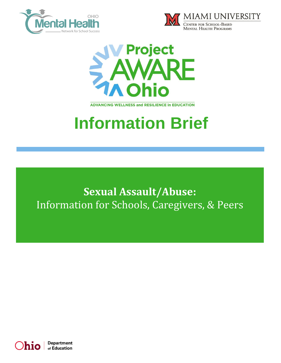





**ADVANCING WELLNESS and RESILIENCE In EDUCATION** 

# **Information Brief**

**Sexual Assault/Abuse:**  Information for Schools, Caregivers, & Peers

Department h10 of Education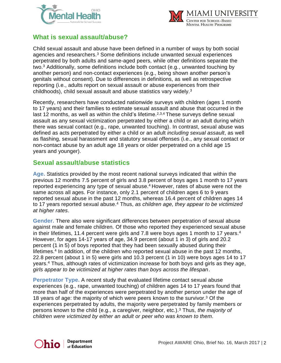



## **What is sexual assault/abuse?**

Child sexual assault and abuse have been defined in a number of ways by both social agencies and researchers.<sup>3</sup> Some definitions include unwanted sexual experiences perpetrated by both adults and same-aged peers, while other definitions separate the two.<sup>3</sup> Additionally, some definitions include both contact (e.g., unwanted touching by another person) and non-contact experiences (e.g., being shown another person's genitals without consent). Due to differences in definitions, as well as retrospective reporting (i.e., adults report on sexual assault or abuse experiences from their childhoods), child sexual assault and abuse statistics vary widely.<sup>3</sup>

Recently, researchers have conducted nationwide surveys with children (ages 1 month to 17 years) and their families to estimate sexual assault and abuse that occurred in the last 12 months, as well as within the child's lifetime.<sup>2,3,4</sup> These surveys define sexual assault as any sexual victimization perpetrated by either a child or an adult during which there was sexual contact (e.g., rape, unwanted touching). In contrast, sexual abuse was defined as acts perpetrated by either a child or an adult *including sexual assault*, as well as flashing, sexual harassment and statutory sexual offenses (i.e., any sexual contact or non-contact abuse by an adult age 18 years or older perpetrated on a child age 15 years and younger).

#### **Sexual assault/abuse statistics**

**Age.** Statistics provided by the most recent national surveys indicated that within the previous 12 months 7.5 percent of girls and 3.8 percent of boys ages 1 month to 17 years reported experiencing any type of sexual abuse. <sup>4</sup> However, rates of abuse were not the same across all ages. For instance, only 2.1 percent of children ages 6 to 9 years reported sexual abuse in the past 12 months, whereas 16.4 percent of children ages 14 to 17 years reported sexual abuse. <sup>4</sup> Thus, *as children age, they appear to be victimized at higher rates*.

**Gender.** There also were significant differences between perpetration of sexual abuse against male and female children. Of those who reported they experienced sexual abuse in their lifetimes, 11.4 percent were girls and 7.8 were boys ages 1 month to 17 years. 4 However, for ages 14-17 years of age, 34.9 percent (about 1 in 3) of girls and 20.2 percent (1 in 5) of boys reported that they had been sexually abused during their lifetimes. 4 In addition, of the children who reported sexual abuse in the past 12 months, 22.8 percent (about 1 in 5) were girls and 10.3 percent (1 in 10) were boys ages 14 to 17 years. <sup>4</sup> Thus, although rates of victimization increase for both boys and girls as they age, *girls appear to be victimized at higher rates than boys across the lifespan*.

**Perpetrator Type.** A recent study that evaluated lifetime contact sexual abuse experiences (e.g., rape, unwanted touching) of children ages 14 to 17 years found that more than half of the experiences were perpetrated by another person under the age of 18 years of age: the majority of which were peers known to the survivor. <sup>3</sup> Of the experiences perpetrated by adults, the majority were perpetrated by family members or persons known to the child (e.g., a caregiver, neighbor, etc.). <sup>3</sup> Thus, *the majority of children were victimized by either an adult or peer who was known to them*.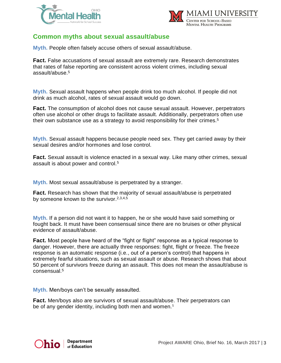



#### **Common myths about sexual assault/abuse**

**Myth.** People often falsely accuse others of sexual assault/abuse.

**Fact.** False accusations of sexual assault are extremely rare. Research demonstrates that rates of false reporting are consistent across violent crimes, including sexual assault/abuse.<sup>5</sup>

**Myth.** Sexual assault happens when people drink too much alcohol. If people did not drink as much alcohol, rates of sexual assault would go down.

**Fact.** The consumption of alcohol does not cause sexual assault. However, perpetrators often use alcohol or other drugs to facilitate assault. Additionally, perpetrators often use their own substance use as a strategy to avoid responsibility for their crimes.<sup>5</sup>

**Myth.** Sexual assault happens because people need sex. They get carried away by their sexual desires and/or hormones and lose control.

**Fact.** Sexual assault is violence enacted in a sexual way. Like many other crimes, sexual assault is about power and control.<sup>5</sup>

**Myth.** Most sexual assault/abuse is perpetrated by a stranger.

**Fact.** Research has shown that the majority of sexual assault/abuse is perpetrated by someone known to the survivor.<sup>2,3,4,5</sup>

**Myth.** If a person did not want it to happen, he or she would have said something or fought back. It must have been consensual since there are no bruises or other physical evidence of assault/abuse.

**Fact.** Most people have heard of the "fight or flight" response as a typical response to danger. However, there are actually three responses: fight, flight or freeze. The freeze response is an automatic response (i.e., out of a person's control) that happens in extremely fearful situations, such as sexual assault or abuse. Research shows that about 50 percent of survivors freeze during an assault. This does not mean the assault/abuse is consensual.<sup>5</sup>

**Myth.** Men/boys can't be sexually assaulted.

**Fact.** Men/boys also are survivors of sexual assault/abuse. Their perpetrators can be of any gender identity, including both men and women.<sup>5</sup>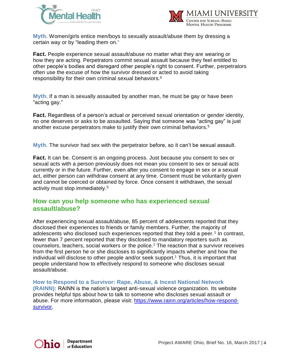



**Myth.** Women/girls entice men/boys to sexually assault/abuse them by dressing a certain way or by "leading them on."

**Fact.** People experience sexual assault/abuse no matter what they are wearing or how they are acting. Perpetrators commit sexual assault because they feel entitled to other people's bodies and disregard other people's right to consent. Further, perpetrators often use the excuse of how the survivor dressed or acted to avoid taking responsibility for their own criminal sexual behaviors.<sup>5</sup>

**Myth.** If a man is sexually assaulted by another man, he must be gay or have been "acting gay."

**Fact.** Regardless of a person's actual or perceived sexual orientation or gender identity, no one deserves or asks to be assaulted. Saying that someone was "acting gay" is just another excuse perpetrators make to justify their own criminal behaviors. 5

**Myth.** The survivor had sex with the perpetrator before, so it can't be sexual assault.

**Fact.** It can be. Consent is an ongoing process. Just because you consent to sex or sexual acts with a person previously does not mean you consent to sex or sexual acts currently or in the future. Further, even after you consent to engage in sex or a sexual act, either person can withdraw consent at any time. Consent must be voluntarily given and cannot be coerced or obtained by force. Once consent it withdrawn, the sexual activity must stop immediately.<sup>5</sup>

#### **How can you help someone who has experienced sexual assault/abuse?**

After experiencing sexual assault/abuse, 85 percent of adolescents reported that they disclosed their experiences to friends or family members. Further, the majority of adolescents who disclosed such experiences reported that they told a peer.<sup>1</sup> In contrast, fewer than 7 percent reported that they disclosed to mandatory reporters such as counselors, teachers, social workers or the police.<sup>1</sup> The reaction that a survivor receives from the first person he or she discloses to significantly impacts whether and how the individual will disclose to other people and/or seek support. <sup>1</sup> Thus, it is important that people understand how to effectively respond to someone who discloses sexual assault/abuse.

**How to Respond to a Survivor: Rape, Abuse, & Incest National Network (RAINN):** RAINN is the nation's largest anti-sexual violence organization. Its website provides helpful tips about how to talk to someone who discloses sexual assault or abuse. For more information, please visit: [https://www.rainn.org/articles/how-respond](https://www.rainn.org/articles/how-respond-survivor)[survivor.](https://www.rainn.org/articles/how-respond-survivor)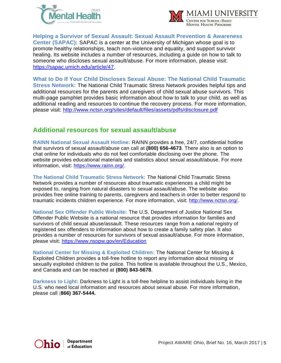



**Helping a Survivor of Sexual Assault: Sexual Assault Prevention & Awareness** 

**Center (SAPAC):** SAPAC is a center at the University of Michigan whose goal is to promote healthy relationships, teach non-violence and equality, and support survivor healing. Its website includes a number of resources, including a guide on how to talk to someone who discloses sexual assault/abuse. For more information, please visit: [https://sapac.umich.edu/article/47.](https://sapac.umich.edu/article/47)

**What to Do If Your Child Discloses Sexual Abuse: The National Child Traumatic Stress Network:** The National Child Traumatic Stress Network provides helpful tips and additional resources for the parents and caregivers of child sexual abuse survivors. This multi-page pamphlet provides basic information about how to talk to your child, as well as additional reading and resources to continue the recovery process. For more information, please visit:<http://www.nctsn.org/sites/default/files/assets/pdfs/disclosure.pdf>

## **Additional resources for sexual assault/abuse**

**RAINN National Sexual Assault Hotline:** RAINN provides a free, 24/7, confidential hotline that survivors of sexual assault/abuse can call at **(800) 656-4673**. There also is an option to chat online for individuals who do not feel comfortable disclosing over the phone. The website provides educational materials and statistics about sexual assault/abuse. For more information, visit: [https://www.rainn.org/.](https://www.rainn.org/)

**The National Child Traumatic Stress Network:** The National Child Traumatic Stress Network provides a number of resources about traumatic experiences a child might be exposed to, ranging from natural disasters to sexual assault/abuse. The website also provides free online training to parents, caregivers and teachers in order to better respond to traumatic incidents children experience. For more information, visit: [http://www.nctsn.org/.](http://www.nctsn.org/)

**National Sex Offender Public Website:** The U.S. Department of Justice National Sex Offender Public Website is a national resource that provides information for families and survivors of child sexual abuse/assault. These resources range from a national registry of registered sex offenders to information about how to create a family safety plan. It also provides a number of resources for survivors of sexual assault/abuse. For more information, please visit:<https://www.nsopw.gov/en/Education>

**National Center for Missing & Exploited Children:** The National Center for Missing & Exploited Children provides a toll-free hotline to report any information about missing or sexually exploited children to the police. This hotline is available throughout the U.S., Mexico, and Canada and can be reached at **(800) 843-5678**.

**Darkness to Light:** Darkness to Light is a toll-free helpline to assist individuals living in the U.S. who need local information and resources about sexual abuse. For more information, please call (**866) 367-5444.**